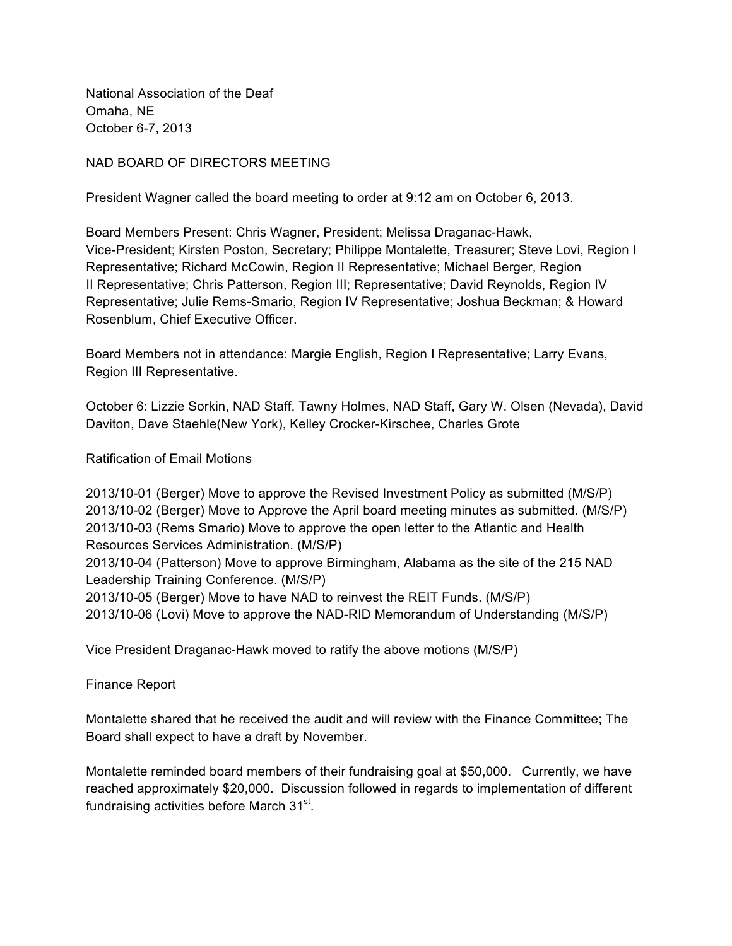National Association of the Deaf Omaha, NE October 6-7, 2013

NAD BOARD OF DIRECTORS MEETING

President Wagner called the board meeting to order at 9:12 am on October 6, 2013.

Board Members Present: Chris Wagner, President; Melissa Draganac-Hawk, Vice-President; Kirsten Poston, Secretary; Philippe Montalette, Treasurer; Steve Lovi, Region I Representative; Richard McCowin, Region II Representative; Michael Berger, Region II Representative; Chris Patterson, Region III; Representative; David Reynolds, Region IV Representative; Julie Rems-Smario, Region IV Representative; Joshua Beckman; & Howard Rosenblum, Chief Executive Officer.

Board Members not in attendance: Margie English, Region I Representative; Larry Evans, Region III Representative.

October 6: Lizzie Sorkin, NAD Staff, Tawny Holmes, NAD Staff, Gary W. Olsen (Nevada), David Daviton, Dave Staehle(New York), Kelley Crocker-Kirschee, Charles Grote

Ratification of Email Motions

2013/10-01 (Berger) Move to approve the Revised Investment Policy as submitted (M/S/P) 2013/10-02 (Berger) Move to Approve the April board meeting minutes as submitted. (M/S/P) 2013/10-03 (Rems Smario) Move to approve the open letter to the Atlantic and Health Resources Services Administration. (M/S/P) 2013/10-04 (Patterson) Move to approve Birmingham, Alabama as the site of the 215 NAD Leadership Training Conference. (M/S/P) 2013/10-05 (Berger) Move to have NAD to reinvest the REIT Funds. (M/S/P) 2013/10-06 (Lovi) Move to approve the NAD-RID Memorandum of Understanding (M/S/P)

Vice President Draganac-Hawk moved to ratify the above motions (M/S/P)

Finance Report

Montalette shared that he received the audit and will review with the Finance Committee; The Board shall expect to have a draft by November.

Montalette reminded board members of their fundraising goal at \$50,000. Currently, we have reached approximately \$20,000. Discussion followed in regards to implementation of different fundraising activities before March 31<sup>st</sup>.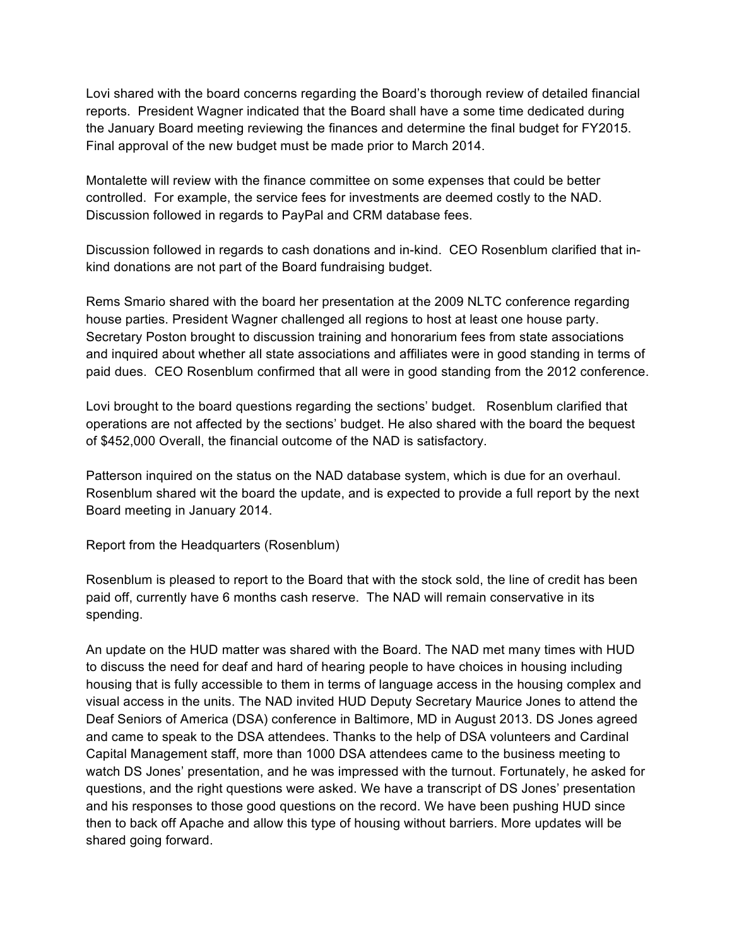Lovi shared with the board concerns regarding the Board's thorough review of detailed financial reports. President Wagner indicated that the Board shall have a some time dedicated during the January Board meeting reviewing the finances and determine the final budget for FY2015. Final approval of the new budget must be made prior to March 2014.

Montalette will review with the finance committee on some expenses that could be better controlled. For example, the service fees for investments are deemed costly to the NAD. Discussion followed in regards to PayPal and CRM database fees.

Discussion followed in regards to cash donations and in-kind. CEO Rosenblum clarified that inkind donations are not part of the Board fundraising budget.

Rems Smario shared with the board her presentation at the 2009 NLTC conference regarding house parties. President Wagner challenged all regions to host at least one house party. Secretary Poston brought to discussion training and honorarium fees from state associations and inquired about whether all state associations and affiliates were in good standing in terms of paid dues. CEO Rosenblum confirmed that all were in good standing from the 2012 conference.

Lovi brought to the board questions regarding the sections' budget. Rosenblum clarified that operations are not affected by the sections' budget. He also shared with the board the bequest of \$452,000 Overall, the financial outcome of the NAD is satisfactory.

Patterson inquired on the status on the NAD database system, which is due for an overhaul. Rosenblum shared wit the board the update, and is expected to provide a full report by the next Board meeting in January 2014.

Report from the Headquarters (Rosenblum)

Rosenblum is pleased to report to the Board that with the stock sold, the line of credit has been paid off, currently have 6 months cash reserve. The NAD will remain conservative in its spending.

An update on the HUD matter was shared with the Board. The NAD met many times with HUD to discuss the need for deaf and hard of hearing people to have choices in housing including housing that is fully accessible to them in terms of language access in the housing complex and visual access in the units. The NAD invited HUD Deputy Secretary Maurice Jones to attend the Deaf Seniors of America (DSA) conference in Baltimore, MD in August 2013. DS Jones agreed and came to speak to the DSA attendees. Thanks to the help of DSA volunteers and Cardinal Capital Management staff, more than 1000 DSA attendees came to the business meeting to watch DS Jones' presentation, and he was impressed with the turnout. Fortunately, he asked for questions, and the right questions were asked. We have a transcript of DS Jones' presentation and his responses to those good questions on the record. We have been pushing HUD since then to back off Apache and allow this type of housing without barriers. More updates will be shared going forward.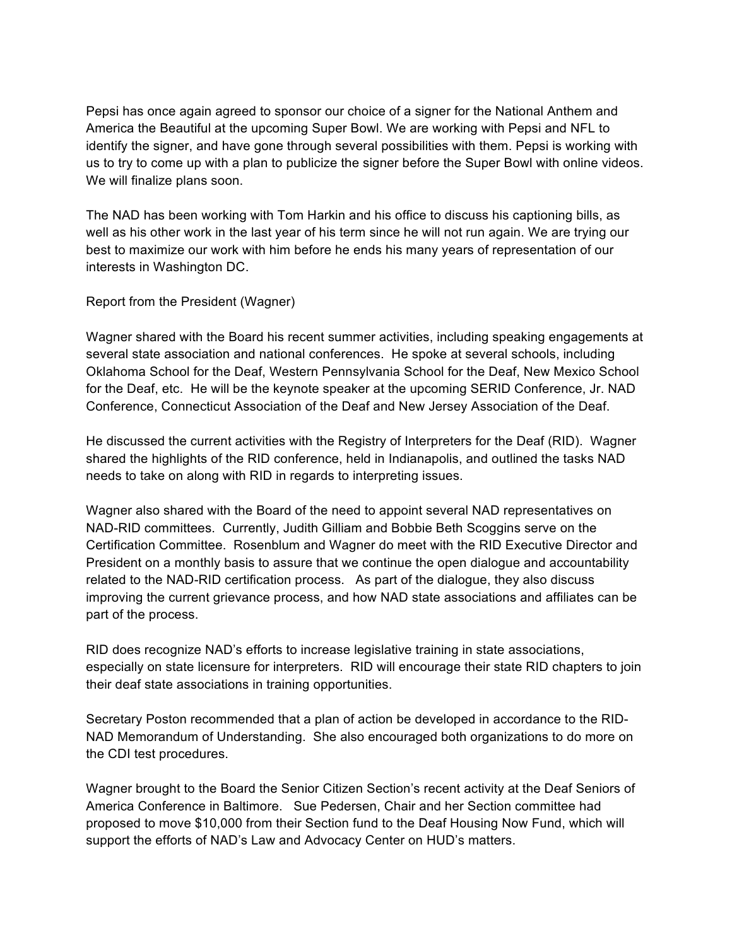Pepsi has once again agreed to sponsor our choice of a signer for the National Anthem and America the Beautiful at the upcoming Super Bowl. We are working with Pepsi and NFL to identify the signer, and have gone through several possibilities with them. Pepsi is working with us to try to come up with a plan to publicize the signer before the Super Bowl with online videos. We will finalize plans soon.

The NAD has been working with Tom Harkin and his office to discuss his captioning bills, as well as his other work in the last year of his term since he will not run again. We are trying our best to maximize our work with him before he ends his many years of representation of our interests in Washington DC.

Report from the President (Wagner)

Wagner shared with the Board his recent summer activities, including speaking engagements at several state association and national conferences. He spoke at several schools, including Oklahoma School for the Deaf, Western Pennsylvania School for the Deaf, New Mexico School for the Deaf, etc. He will be the keynote speaker at the upcoming SERID Conference, Jr. NAD Conference, Connecticut Association of the Deaf and New Jersey Association of the Deaf.

He discussed the current activities with the Registry of Interpreters for the Deaf (RID). Wagner shared the highlights of the RID conference, held in Indianapolis, and outlined the tasks NAD needs to take on along with RID in regards to interpreting issues.

Wagner also shared with the Board of the need to appoint several NAD representatives on NAD-RID committees. Currently, Judith Gilliam and Bobbie Beth Scoggins serve on the Certification Committee. Rosenblum and Wagner do meet with the RID Executive Director and President on a monthly basis to assure that we continue the open dialogue and accountability related to the NAD-RID certification process. As part of the dialogue, they also discuss improving the current grievance process, and how NAD state associations and affiliates can be part of the process.

RID does recognize NAD's efforts to increase legislative training in state associations, especially on state licensure for interpreters. RID will encourage their state RID chapters to join their deaf state associations in training opportunities.

Secretary Poston recommended that a plan of action be developed in accordance to the RID-NAD Memorandum of Understanding. She also encouraged both organizations to do more on the CDI test procedures.

Wagner brought to the Board the Senior Citizen Section's recent activity at the Deaf Seniors of America Conference in Baltimore. Sue Pedersen, Chair and her Section committee had proposed to move \$10,000 from their Section fund to the Deaf Housing Now Fund, which will support the efforts of NAD's Law and Advocacy Center on HUD's matters.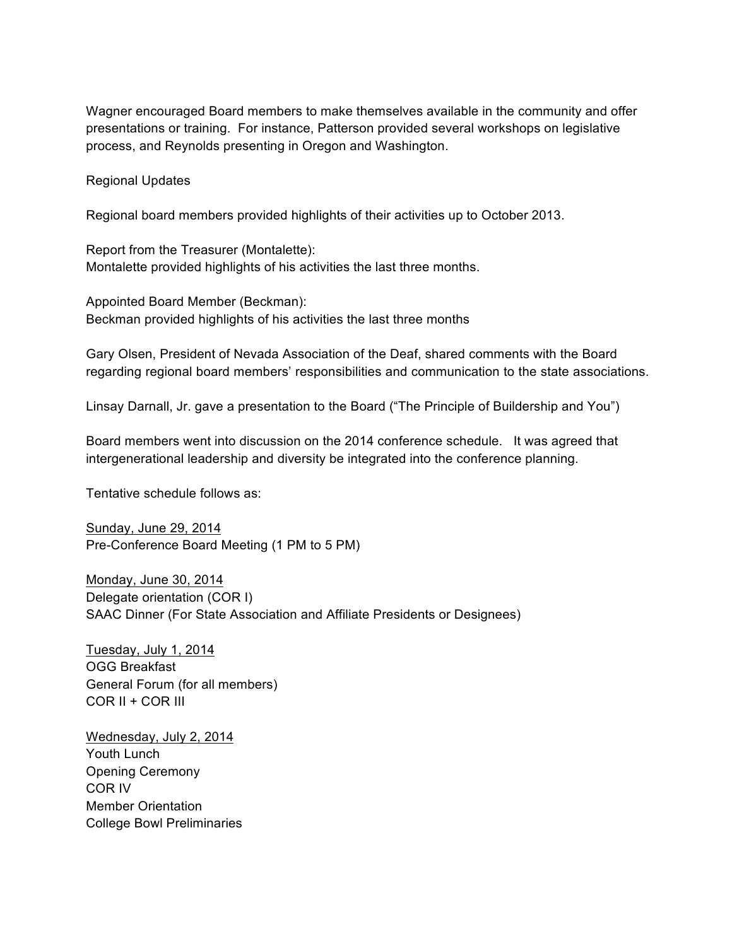Wagner encouraged Board members to make themselves available in the community and offer presentations or training. For instance, Patterson provided several workshops on legislative process, and Reynolds presenting in Oregon and Washington.

Regional Updates

Regional board members provided highlights of their activities up to October 2013.

Report from the Treasurer (Montalette): Montalette provided highlights of his activities the last three months.

Appointed Board Member (Beckman): Beckman provided highlights of his activities the last three months

Gary Olsen, President of Nevada Association of the Deaf, shared comments with the Board regarding regional board members' responsibilities and communication to the state associations.

Linsay Darnall, Jr. gave a presentation to the Board ("The Principle of Buildership and You")

Board members went into discussion on the 2014 conference schedule. It was agreed that intergenerational leadership and diversity be integrated into the conference planning.

Tentative schedule follows as:

Sunday, June 29, 2014 Pre-Conference Board Meeting (1 PM to 5 PM)

Monday, June 30, 2014 Delegate orientation (COR I) SAAC Dinner (For State Association and Affiliate Presidents or Designees)

Tuesday, July 1, 2014 OGG Breakfast General Forum (for all members) COR II + COR III

Wednesday, July 2, 2014 Youth Lunch Opening Ceremony COR IV Member Orientation College Bowl Preliminaries